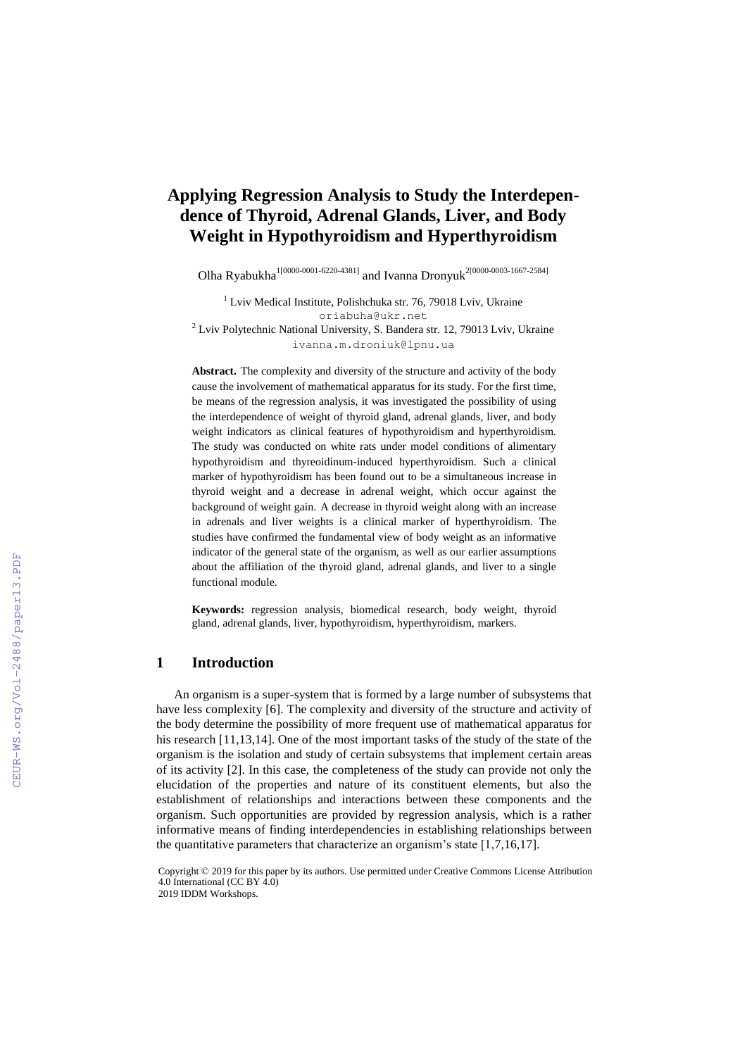# **Applying Regression Analysis to Study the Interdependence of Thyroid, Adrenal Glands, Liver, and Body Weight in Hypothyroidism and Hyperthyroidism**

Olha Ryabukha<sup>1[0000-0001-6220-4381]</sup> and Ivanna Dronyuk<sup>2[0000-0003-1667-2584]</sup>

 $1$  Lviv Medical Institute, Polishchuka str. 76, 79018 Lviv, Ukraine oriabuha@ukr.net  $2$  Lviv Polytechnic National University, S. Bandera str. 12, 79013 Lviv, Ukraine ivanna.m.droniuk@lpnu.ua

**Abstract.** The complexity and diversity of the structure and activity of the body cause the involvement of mathematical apparatus for its study. For the first time, be means of the regression analysis, it was investigated the possibility of using the interdependence of weight of thyroid gland, adrenal glands, liver, and body weight indicators as clinical features of hypothyroidism and hyperthyroidism. The study was conducted on white rats under model conditions of alimentary hypothyroidism and thyreoidinum-induced hyperthyroidism. Such a clinical marker of hypothyroidism has been found out to be a simultaneous increase in thyroid weight and a decrease in adrenal weight, which occur against the background of weight gain. A decrease in thyroid weight along with an increase in adrenals and liver weights is a clinical marker of hyperthyroidism. The studies have confirmed the fundamental view of body weight as an informative indicator of the general state of the organism, as well as our earlier assumptions about the affiliation of the thyroid gland, adrenal glands, and liver to a single functional module.

**Keywords:** regression аnalysis, biomedical research, body weight, thyroid gland, adrenal glands, liver, hypothyroidism, hyperthyroidism, markers.

#### **1 Introduction**

An organism is a super-system that is formed by a large number of subsystems that have less complexity [6]. The complexity and diversity of the structure and activity of the body determine the possibility of more frequent use of mathematical apparatus for his research [11,13,14]. One of the most important tasks of the study of the state of the organism is the isolation and study of certain subsystems that implement certain areas of its activity [2]. In this case, the completeness of the study can provide not only the elucidation of the properties and nature of its constituent elements, but also the establishment of relationships and interactions between these components and the organism. Such opportunities are provided by regression analysis, which is a rather informative means of finding interdependencies in establishing relationships between the quantitative parameters that characterize an organism's state [1,7,16,17].

Copyright © 2019 for this paper by its authors. Use permitted under Creative Commons License Attribution 4.0 International (CC BY 4.0) 2019 IDDM Workshops.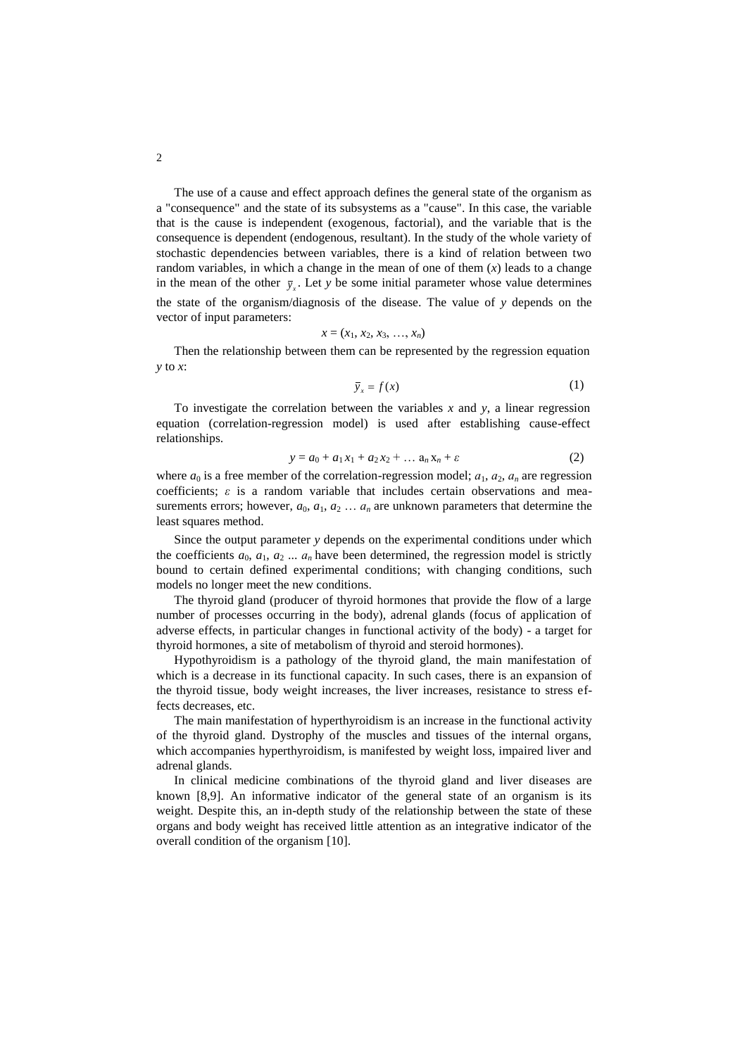The use of a cause and effect approach defines the general state of the organism as a "consequence" and the state of its subsystems as a "cause". In this case, the variable that is the cause is independent (exogenous, factorial), and the variable that is the consequence is dependent (endogenous, resultant). In the study of the whole variety of stochastic dependencies between variables, there is a kind of relation between two random variables, in which a change in the mean of one of them  $(x)$  leads to a change in the mean of the other  $\bar{y}_x$ . Let *y* be some initial parameter whose value determines the state of the organism/diagnosis of the disease. The value of *y* depends on the vector of input parameters:

$$
x = (x_1, x_2, x_3, \ldots, x_n)
$$

Then the relationship between them can be represented by the regression equation *y* to *x*:

$$
\bar{y}_x = f(x) \tag{1}
$$

To investigate the correlation between the variables *x* and *y*, a linear regression equation (correlation-regression model) is used after establishing cause-effect relationships.

$$
y = a_0 + a_1 x_1 + a_2 x_2 + \dots a_n x_n + \varepsilon \tag{2}
$$

where  $a_0$  is a free member of the correlation-regression model;  $a_1$ ,  $a_2$ ,  $a_n$  are regression coefficients;  $\varepsilon$  is a random variable that includes certain observations and measurements errors; however,  $a_0$ ,  $a_1$ ,  $a_2$   $\ldots$   $a_n$  are unknown parameters that determine the least squares method.

Since the output parameter *y* depends on the experimental conditions under which the coefficients  $a_0$ ,  $a_1$ ,  $a_2$  ...  $a_n$  have been determined, the regression model is strictly bound to certain defined experimental conditions; with changing conditions, such models no longer meet the new conditions.

The thyroid gland (producer of thyroid hormones that provide the flow of a large number of processes occurring in the body), adrenal glands (focus of application of adverse effects, in particular changes in functional activity of the body) - a target for thyroid hormones, a site of metabolism of thyroid and steroid hormones).

Hypothyroidism is a pathology of the thyroid gland, the main manifestation of which is a decrease in its functional capacity. In such cases, there is an expansion of the thyroid tissue, body weight increases, the liver increases, resistance to stress effects decreases, etc.

The main manifestation of hyperthyroidism is an increase in the functional activity of the thyroid gland. Dystrophy of the muscles and tissues of the internal organs, which accompanies hyperthyroidism, is manifested by weight loss, impaired liver and adrenal glands.

In clinical medicine combinations of the thyroid gland and liver diseases are known [8,9]. An informative indicator of the general state of an organism is its weight. Despite this, an in-depth study of the relationship between the state of these organs and body weight has received little attention as an integrative indicator of the overall condition of the organism [10].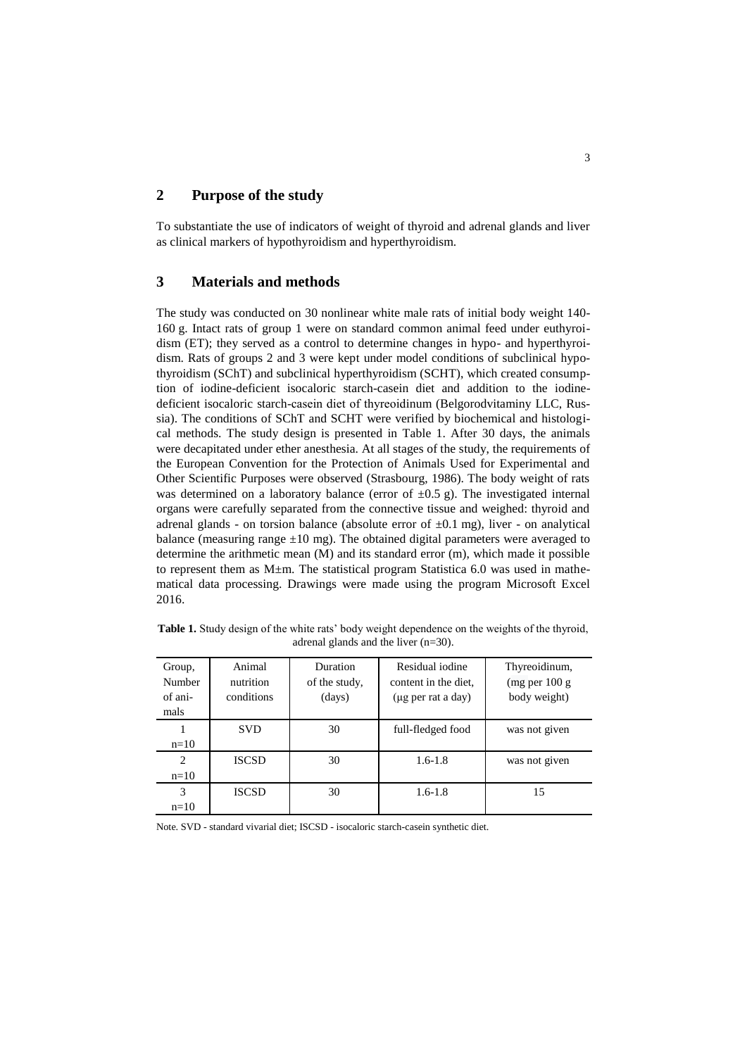## **2 Purpose of the study**

To substantiate the use of indicators of weight of thyroid and adrenal glands and liver as clinical markers of hypothyroidism and hyperthyroidism.

# **3 Materials and methods**

The study was conducted on 30 nonlinear white male rats of initial body weight 140- 160 g. Intact rats of group 1 were on standard common animal feed under euthyroidism (ET); they served as a control to determine changes in hypo- and hyperthyroidism. Rats of groups 2 and 3 were kept under model conditions of subclinical hypothyroidism (SChT) and subclinical hyperthyroidism (SCHT), which created consumption of iodine-deficient isocaloric starch-casein diet and addition to the iodinedeficient isocaloric starch-casein diet of thyrеoidinum (Belgorodvitaminy LLC, Russia). The conditions of SChT and SCHT were verified by biochemical and histological methods. The study design is presented in Table 1. After 30 days, the animals were decapitated under ether anesthesia. At all stages of the study, the requirements of the European Convention for the Protection of Animals Used for Experimental and Other Scientific Purposes were observed (Strasbourg, 1986). The body weight of rats was determined on a laboratory balance (error of  $\pm 0.5$  g). The investigated internal organs were carefully separated from the connective tissue and weighed: thyroid and adrenal glands - on torsion balance (absolute error of  $\pm 0.1$  mg), liver - on analytical balance (measuring range  $\pm 10$  mg). The obtained digital parameters were averaged to determine the arithmetic mean (M) and its standard error (m), which made it possible to represent them as  $M \pm m$ . The statistical program Statistica 6.0 was used in mathematical data processing. Drawings were made using the program Microsoft Excel 2016.

**Table 1.** Study design of the white rats' body weight dependence on the weights of the thyroid, adrenal glands and the liver (n=30).

| Group,<br>Number<br>of ani-<br>mals | Animal<br>nutrition<br>conditions | Duration<br>of the study,<br>(days) | Residual iodine<br>content in the diet.<br>(µg per rat a day) | Thyreoidinum,<br>(mg per 100 g)<br>body weight) |
|-------------------------------------|-----------------------------------|-------------------------------------|---------------------------------------------------------------|-------------------------------------------------|
| $n=10$                              | <b>SVD</b>                        | 30                                  | full-fledged food                                             | was not given                                   |
| $\overline{c}$<br>$n=10$            | <b>ISCSD</b>                      | 30                                  | $1.6 - 1.8$                                                   | was not given                                   |
| 3<br>$n=10$                         | <b>ISCSD</b>                      | 30                                  | $1.6 - 1.8$                                                   | 15                                              |

Note. SVD - standard vivarial diet; ISCSD - isocaloric starch-casein synthetic diet.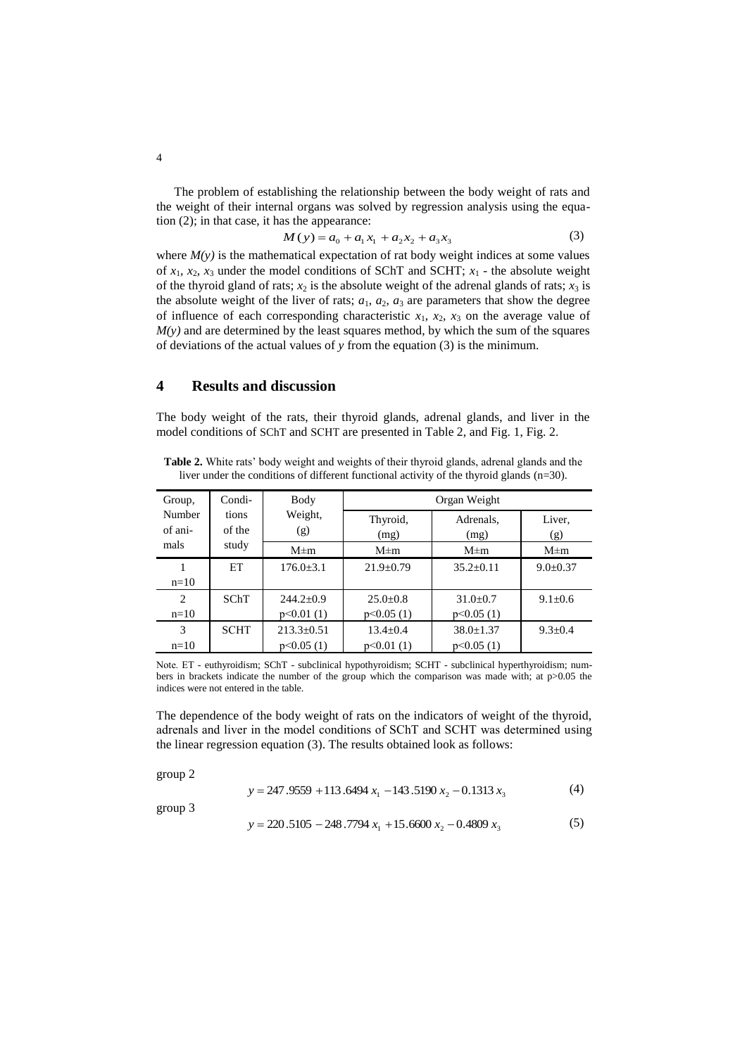The problem of establishing the relationship between the body weight of rats and the weight of their internal organs was solved by regression analysis using the equation (2); in that case, it has the appearance:

$$
M(y) = a_0 + a_1 x_1 + a_2 x_2 + a_3 x_3 \tag{3}
$$

where  $M(y)$  is the mathematical expectation of rat body weight indices at some values of  $x_1$ ,  $x_2$ ,  $x_3$  under the model conditions of SChT and SCHT;  $x_1$  - the absolute weight of the thyroid gland of rats;  $x_2$  is the absolute weight of the adrenal glands of rats;  $x_3$  is the absolute weight of the liver of rats;  $a_1$ ,  $a_2$ ,  $a_3$  are parameters that show the degree of influence of each corresponding characteristic  $x_1$ ,  $x_2$ ,  $x_3$  on the average value of  $M(y)$  and are determined by the least squares method, by which the sum of the squares of deviations of the actual values of *y* from the equation (3) is the minimum.

# **4 Results and discussion**

The body weight of the rats, their thyroid glands, adrenal glands, and liver in the model conditions of SChT and SСHТ are presented in Table 2, and Fig. 1, Fig. 2.

**Table 2.** White rats' body weight and weights of their thyroid glands, adrenal glands and the liver under the conditions of different functional activity of the thyroid glands (n=30).

| Group,            | Condi-          | Body             | Organ Weight     |                   |                |  |
|-------------------|-----------------|------------------|------------------|-------------------|----------------|--|
| Number<br>of ani- | tions<br>of the | Weight,<br>(g)   | Thyroid,<br>(mg) | Adrenals,<br>(mg) | Liver,<br>(g)  |  |
| mals              | study           | $M \pm m$        | $M \pm m$        | $M \pm m$         | $M \pm m$      |  |
|                   | ET              | $176.0 \pm 3.1$  | $21.9 \pm 0.79$  | $35.2 \pm 0.11$   | $9.0 \pm 0.37$ |  |
| $n=10$            |                 |                  |                  |                   |                |  |
| 2                 | SChT            | $244.2 \pm 0.9$  | $25.0 \pm 0.8$   | $31.0 \pm 0.7$    | $9.1 \pm 0.6$  |  |
| $n=10$            |                 | p<0.01(1)        | p<0.05(1)        | p<0.05(1)         |                |  |
| 3                 | <b>SCHT</b>     | $213.3 \pm 0.51$ | $13.4 \pm 0.4$   | $38.0 \pm 1.37$   | $9.3 \pm 0.4$  |  |
| $n=10$            |                 | p<0.05(1)        | p<0.01(1)        | p<0.05(1)         |                |  |

Note. ET - euthyroidism; SChT - subclinical hypothyroidism; SCHT - subclinical hyperthyroidism; numbers in brackets indicate the number of the group which the comparison was made with; at p>0.05 the indices were not entered in the table.

The dependence of the body weight of rats on the indicators of weight of the thyroid, adrenals and liver in the model conditions of SChT and SСHТ was determined using the linear regression equation (3). The results obtained look as follows:

group 2

$$
y = 247.9559 + 113.6494 x1 - 143.5190 x2 - 0.1313 x3
$$
 (4)

group 3

 $y = 220.5105 - 248.7794 x_1 + 15.6600 x_2 - 0.4809 x_3$ (5)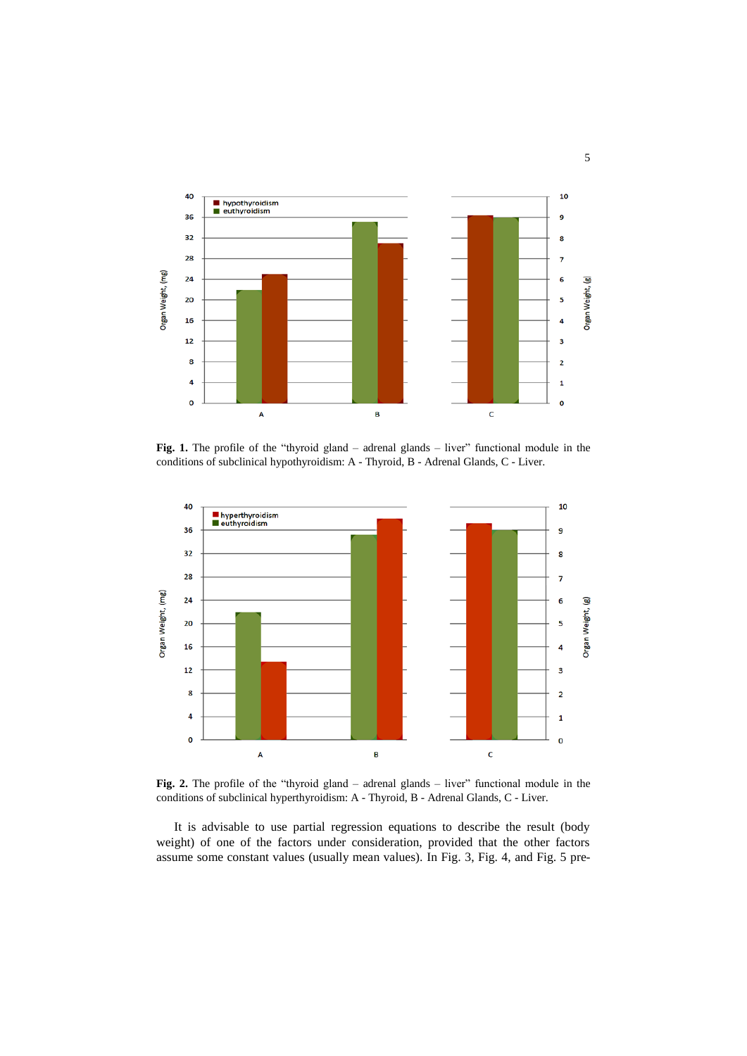

Fig. 1. The profile of the "thyroid gland – adrenal glands – liver" functional module in the conditions of subclinical hypothyroidism: A - Thyroid, B - Adrenal Glands, C - Liver.



Fig. 2. The profile of the "thyroid gland – adrenal glands – liver" functional module in the conditions of subclinical hyperthyroidism: A - Thyroid, B - Adrenal Glands, C - Liver.

It is advisable to use partial regression equations to describe the result (body weight) of one of the factors under consideration, provided that the other factors assume some constant values (usually mean values). In Fig. 3, Fig. 4, and Fig. 5 pre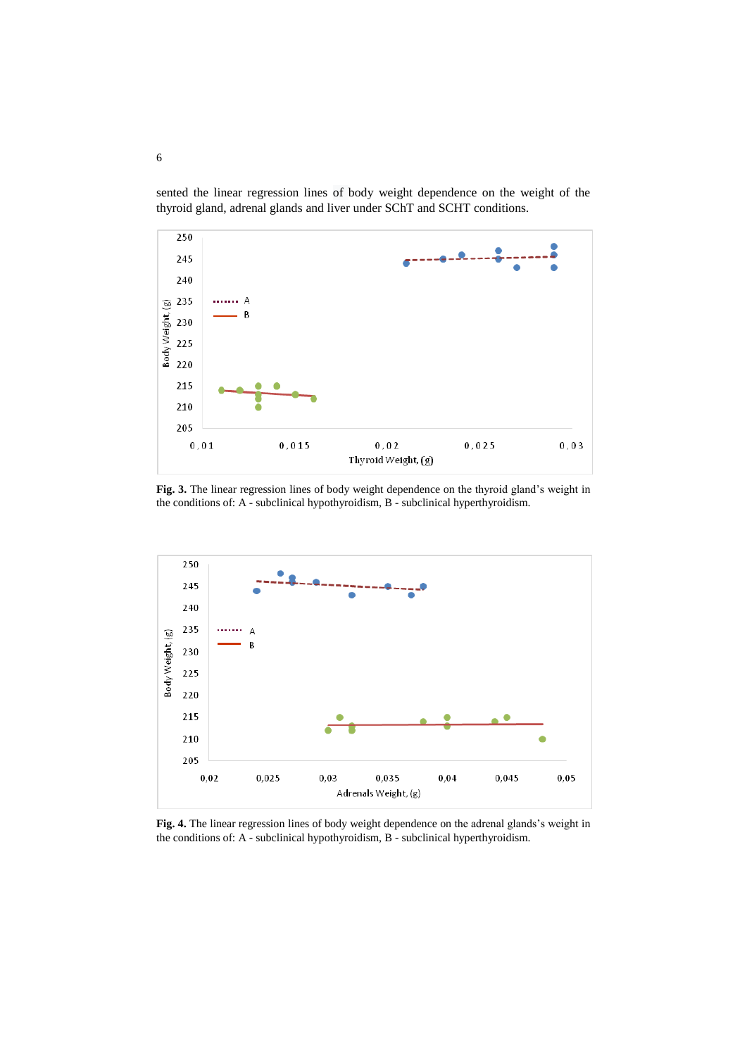sented the linear regression lines of body weight dependence on the weight of the thyroid gland, adrenal glands and liver under SChT and SCHT conditions.



**Fig. 3.** The linear regression lines of body weight dependence on the thyroid gland's weight in the conditions of: A - subclinical hypothyroidism, B - subclinical hyperthyroidism.



**Fig. 4.** The linear regression lines of body weight dependence on the adrenal glands's weight in the conditions of: A - subclinical hypothyroidism, B - subclinical hyperthyroidism.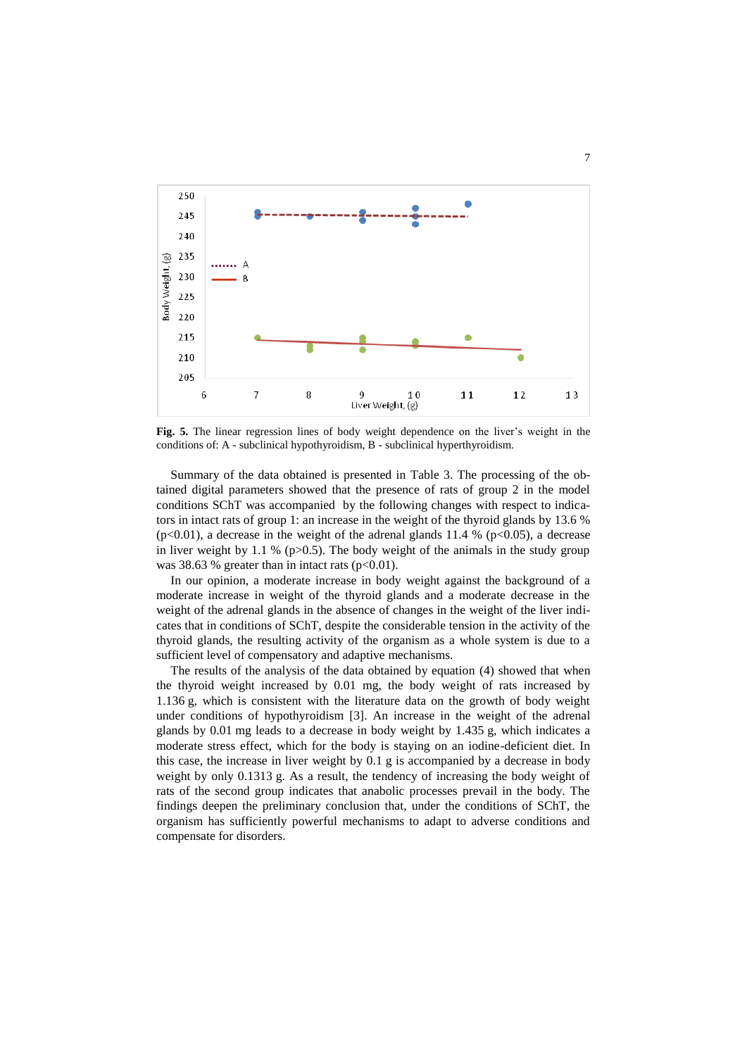

**Fig. 5.** The linear regression lines of body weight dependence on the liver's weight in the conditions of: A - subclinical hypothyroidism, B - subclinical hyperthyroidism.

Summary of the data obtained is presented in Table 3. The processing of the obtained digital parameters showed that the presence of rats of group 2 in the model conditions SChT was accompanied by the following changes with respect to indicators in intact rats of group 1: an increase in the weight of the thyroid glands by 13.6 %  $(p<0.01)$ , a decrease in the weight of the adrenal glands 11.4 % (p $< 0.05$ ), a decrease in liver weight by 1.1 % ( $p>0.5$ ). The body weight of the animals in the study group was 38.63 % greater than in intact rats  $(p<0.01)$ .

In our opinion, a moderate increase in body weight against the background of a moderate increase in weight of the thyroid glands and a moderate decrease in the weight of the adrenal glands in the absence of changes in the weight of the liver indicates that in conditions of SChT, despite the considerable tension in the activity of the thyroid glands, the resulting activity of the organism as a whole system is due to a sufficient level of compensatory and adaptive mechanisms.

The results of the analysis of the data obtained by equation (4) showed that when the thyroid weight increased by 0.01 mg, the body weight of rats increased by 1.136 g, which is consistent with the literature data on the growth of body weight under conditions of hypothyroidism [3]. An increase in the weight of the adrenal glands by 0.01 mg leads to a decrease in body weight by 1.435 g, which indicates a moderate stress effect, which for the body is staying on an iodine-deficient diet. In this case, the increase in liver weight by 0.1 g is accompanied by a decrease in body weight by only 0.1313 g. As a result, the tendency of increasing the body weight of rats of the second group indicates that anabolic processes prevail in the body. The findings deepen the preliminary conclusion that, under the conditions of SChT, the organism has sufficiently powerful mechanisms to adapt to adverse conditions and compensate for disorders.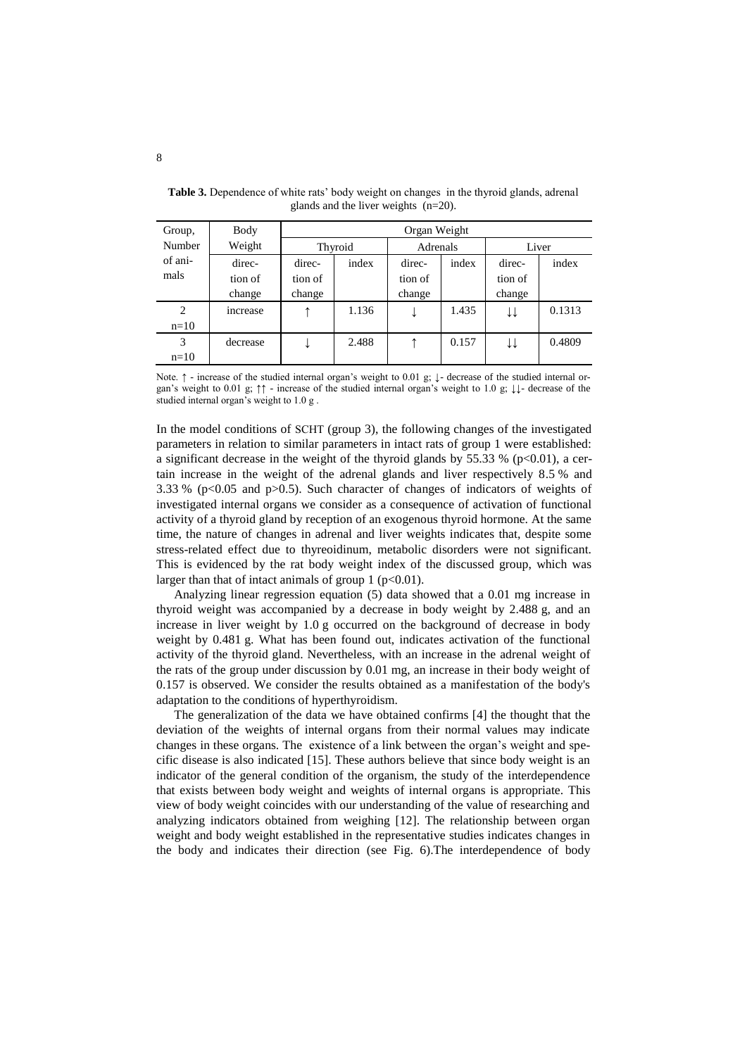| Group,         | Body     | Organ Weight |       |          |       |         |        |
|----------------|----------|--------------|-------|----------|-------|---------|--------|
| Number         | Weight   | Thyroid      |       | Adrenals |       | Liver   |        |
| of ani-        | direc-   | direc-       | index | direc-   | index | direc-  | index  |
| mals           | tion of  | tion of      |       | tion of  |       | tion of |        |
|                | change   | change       |       | change   |       | change  |        |
| $\overline{c}$ | increase |              | 1.136 | ↵        | 1.435 | ↓↓      | 0.1313 |
| $n=10$         |          |              |       |          |       |         |        |
| 3              | decrease |              | 2.488 |          | 0.157 | ↓↓      | 0.4809 |
| $n=10$         |          |              |       |          |       |         |        |

**Table 3.** Dependence of white rats' body weight on changes in the thyroid glands, adrenal glands and the liver weights (n=20).

Note. ↑ - increase of the studied internal organ's weight to 0.01 g; ↓- decrease of the studied internal organ's weight to 0.01 g; ↑↑ - increase of the studied internal organ's weight to 1.0 g; ↓↓- decrease of the studied internal organ's weight to 1.0 g .

In the model conditions of SСHТ (group 3), the following changes of the investigated parameters in relation to similar parameters in intact rats of group 1 were established: a significant decrease in the weight of the thyroid glands by 55.33 % ( $p<0.01$ ), a certain increase in the weight of the adrenal glands and liver respectively 8.5 % and 3.33 % (p<0.05 and p>0.5). Such character of changes of indicators of weights of investigated internal organs we consider as a consequence of activation of functional activity of a thyroid gland by reception of an exogenous thyroid hormone. At the same time, the nature of changes in adrenal and liver weights indicates that, despite some stress-related effect due to thyreoidinum, metabolic disorders were not significant. This is evidenced by the rat body weight index of the discussed group, which was larger than that of intact animals of group 1 ( $p<0.01$ ).

Analyzing linear regression equation (5) data showed that a 0.01 mg increase in thyroid weight was accompanied by a decrease in body weight by 2.488 g, and an increase in liver weight by 1.0 g occurred on the background of decrease in body weight by 0.481 g. What has been found out, indicates activation of the functional activity of the thyroid gland. Nevertheless, with an increase in the adrenal weight of the rats of the group under discussion by 0.01 mg, an increase in their body weight of 0.157 is observed. We consider the results obtained as a manifestation of the body's adaptation to the conditions of hyperthyroidism.

The generalization of the data we have obtained confirms [4] the thought that the deviation of the weights of internal organs from their normal values may indicate changes in these organs. The existence of a link between the organ's weight and specific disease is also indicated [15]. These authors believe that since body weight is an indicator of the general condition of the organism, the study of the interdependence that exists between body weight and weights of internal organs is appropriate. This view of body weight coincides with our understanding of the value of researching and analyzing indicators obtained from weighing [12]. The relationship between organ weight and body weight established in the representative studies indicates changes in the body and indicates their direction (see Fig. 6).The interdependence of body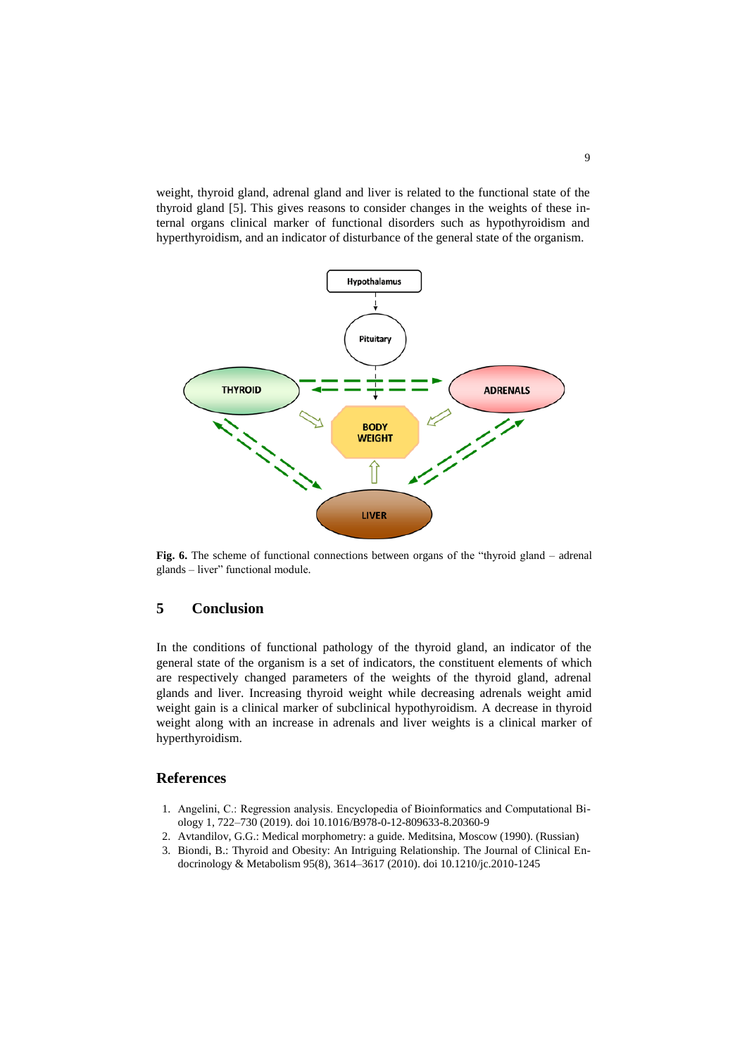weight, thyroid gland, adrenal gland and liver is related to the functional state of the thyroid gland [5]. This gives reasons to consider changes in the weights of these internal organs clinical marker of functional disorders such as hypothyroidism and hyperthyroidism, and an indicator of disturbance of the general state of the organism.



**Fig. 6.** The scheme of functional connections between organs of the "thyroid gland – adrenal glands – liver" functional module.

### **5 Conclusion**

In the conditions of functional pathology of the thyroid gland, an indicator of the general state of the organism is a set of indicators, the constituent elements of which are respectively changed parameters of the weights of the thyroid gland, adrenal glands and liver. Increasing thyroid weight while decreasing adrenals weight amid weight gain is a clinical marker of subclinical hypothyroidism. A decrease in thyroid weight along with an increase in adrenals and liver weights is a clinical marker of hyperthyroidism.

#### **References**

- 1. Angelini, С.: Regression аnalysis. Encyclopedia of Bioinformatics and Computational Biology 1, 722–730 (2019). doi 10.1016/B978-0-12-809633-8.20360-9
- 2. Avtandilov, G.G.: Medical morphometry: a guide. Meditsina, Moscow (1990). (Russian)
- 3. Biondi, B.: Thyroid and Obesity: An Intriguing Relationship. The Journal of Clinical Endocrinology & Metabolism 95(8), 3614–3617 (2010). doi 10.1210/jc.2010-1245